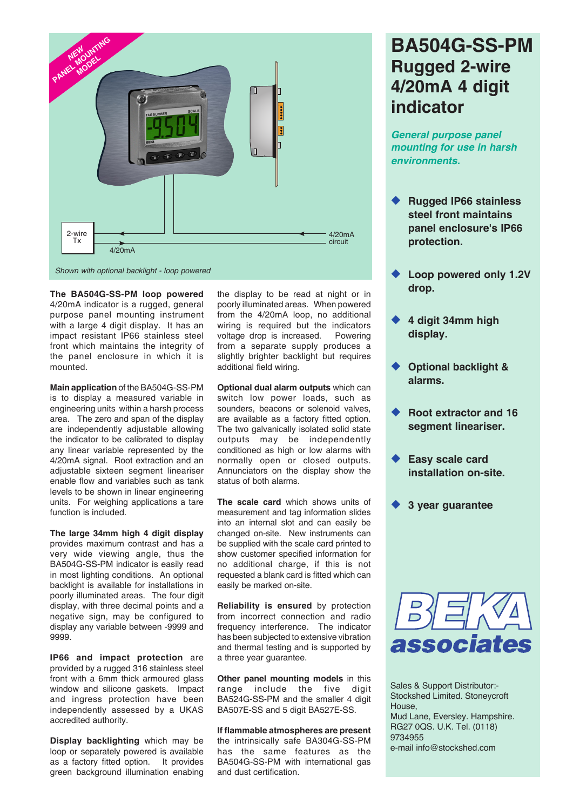

**The BA504G-SS-PM loop powered** 4/20mA indicator is a rugged, general purpose panel mounting instrument with a large 4 digit display. It has an impact resistant IP66 stainless steel front which maintains the integrity of the panel enclosure in which it is mounted.

**Main application** of the BA504G-SS-PM is to display a measured variable in engineering units within a harsh process area. The zero and span of the display are independently adjustable allowing the indicator to be calibrated to display any linear variable represented by the 4/20mA signal. Root extraction and an adjustable sixteen segment lineariser enable flow and variables such as tank levels to be shown in linear engineering units. For weighing applications a tare function is included.

**The large 34mm high 4 digit display** provides maximum contrast and has a very wide viewing angle, thus the BA504G-SS-PM indicator is easily read in most lighting conditions. An optional backlight is available for installations in poorly illuminated areas. The four digit display, with three decimal points and a negative sign, may be configured to display any variable between -9999 and 9999.

**IP66 and impact protection** are provided by a rugged 316 stainless steel front with a 6mm thick armoured glass window and silicone gaskets. Impact and ingress protection have been independently assessed by a UKAS accredited authority.

**Display backlighting** which may be loop or separately powered is available as a factory fitted option. It provides green background illumination enabing the display to be read at night or in poorly illuminated areas. When powered from the 4/20mA loop, no additional wiring is required but the indicators voltage drop is increased. Powering from a separate supply produces a slightly brighter backlight but requires additional field wiring.

**Optional dual alarm outputs** which can switch low power loads, such as sounders, beacons or solenoid valves, are available as a factory fitted option. The two galvanically isolated solid state outputs may be independently conditioned as high or low alarms with normally open or closed outputs. Annunciators on the display show the status of both alarms.

**The scale card** which shows units of measurement and tag information slides into an internal slot and can easily be changed on-site. New instruments can be supplied with the scale card printed to show customer specified information for no additional charge, if this is not requested a blank card is fitted which can easily be marked on-site.

**Reliability is ensured** by protection from incorrect connection and radio frequency interference. The indicator has been subjected to extensive vibration and thermal testing and is supported by a three year guarantee.

**Other panel mounting models** in this range include the five digit BA524G-SS-PM and the smaller 4 digit BA507E-SS and 5 digit BA527E-SS.

**If flammable atmospheres are present** the intrinsically safe BA304G-SS-PM has the same features as the BA504G-SS-PM with international gas and dust certification.

# **BA504G-SS-PM Rugged 2-wire 4/20mA 4 digit indicator**

*General purpose panel mounting for use in harsh environments.*

- u **Rugged IP66 stainless steel front maintains panel enclosure's IP66 protection.**
- Loop powered only 1.2V **drop.**
- u **4 digit 34mm high display.**
- **Optional backlight & alarms.**
- **Root extractor and 16 segment lineariser.**
- **Easy scale card installation on-site.**
- **3 year quarantee**



Sales & Support Distributor:- Stockshed Limited. Stoneycroft House, Mud Lane, Eversley. Hampshire. RG27 0QS. U.K. Tel. (0118) 9734955 e-mail info@stockshed.com